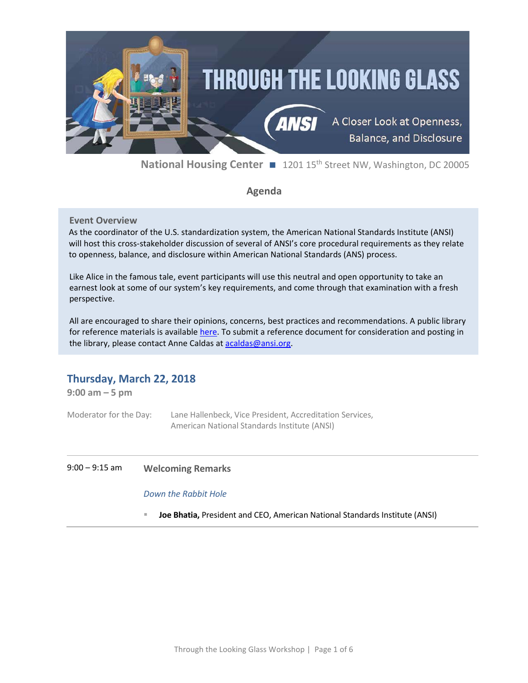

**National Housing Center** ■ 1201 15<sup>th</sup> Street NW, Washington, DC 20005

# **Agenda**

# **Event Overview**

As the coordinator of the U.S. standardization system, the American National Standards Institute (ANSI) will host this cross-stakeholder discussion of several of ANSI's core procedural requirements as they relate to openness, balance, and disclosure within American National Standards (ANS) process.

Like Alice in the famous tale, event participants will use this neutral and open opportunity to take an earnest look at some of our system's key requirements, and come through that examination with a fresh perspective.

All are encouraged to share their opinions, concerns, best practices and recommendations. A public library for reference materials is available [here.](https://share.ansi.org/Shared%20Documents/Forms/AllItems.aspx?RootFolder=%2fShared%20Documents%2fStandards%20Activities%2fAmerican%20National%20Standards%2fProcedures%2c%20Guides%2c%20and%20Forms%2fMarch%2022%202018%20ANSI%20Workshop%20%2d%20Openness%2c%20Balance%20and%20Disclosure) To submit a reference document for consideration and posting in the library, please contact Anne Caldas a[t acaldas@ansi.org.](mailto:acaldas@ansi.org)

# **Thursday, March 22, 2018**

**9:00 am – 5 pm**

Moderator for the Day: Lane Hallenbeck, Vice President, Accreditation Services, American National Standards Institute (ANSI)

# 9:00 – 9:15 am **Welcoming Remarks**

# *Down the Rabbit Hole*

**Joe Bhatia,** President and CEO, American National Standards Institute (ANSI)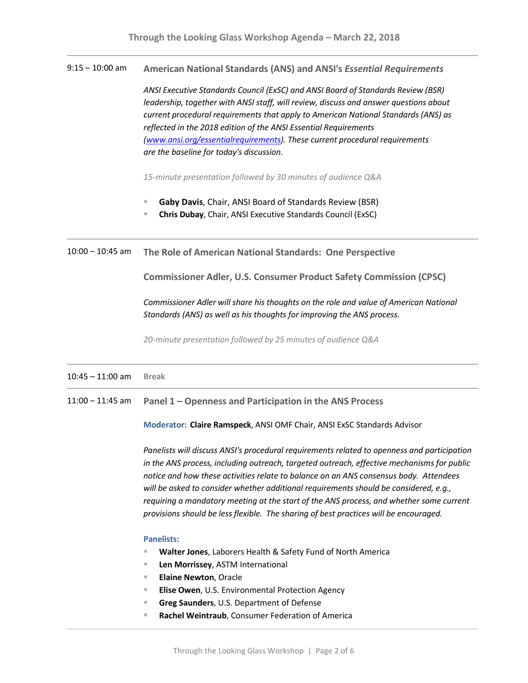9:15 – 10:00 am **American National Standards (ANS) and ANSI's** *Essential Requirements*

*ANSI Executive Standards Council (ExSC) and ANSI Board of Standards Review (BSR) leadership, together with ANSI staff, will review, discuss and answer questions about current procedural requirements that apply to American National Standards (ANS) as reflected in the 2018 edition of the ANSI Essential Requirements [\(www.ansi.org/essentialrequirements\)](http://www.ansi.org/essentialrequirements). These current procedural requirements are the baseline for today's discussion.* 

*15-minute presentation followed by 30 minutes of audience Q&A*

- **Gaby Davis**, Chair, ANSI Board of Standards Review (BSR)
- **Chris Dubay**, Chair, ANSI Executive Standards Council (ExSC)

10:00 – 10:45 am **The Role of American National Standards: One Perspective**

**Commissioner Adler, U.S. Consumer Product Safety Commission (CPSC)**

*Commissioner Adler will share his thoughts on the role and value of American National Standards (ANS) as well as his thoughts for improving the ANS process.*

*20-minute presentation followed by 25 minutes of audience Q&A*

## 10:45 – 11:00 am **Break**

11:00 – 11:45 am **Panel 1 – Openness and Participation in the ANS Process**

**Moderator: Claire Ramspeck**, ANSI OMF Chair, ANSI ExSC Standards Advisor

*Panelists will discuss ANSI's procedural requirements related to openness and participation in the ANS process, including outreach, targeted outreach, effective mechanisms for public notice and how these activities relate to balance on an ANS consensus body. Attendees will be asked to consider whether additional requirements should be considered, e.g., requiring a mandatory meeting at the start of the ANS process, and whether some current provisions should be less flexible. The sharing of best practices will be encouraged.*

#### **Panelists:**

- **Walter Jones**, Laborers Health & Safety Fund of North America
- **Len Morrissey**, ASTM International
- **Elaine Newton**, Oracle
- **Elise Owen**, U.S. Environmental Protection Agency
- **Greg Saunders**, U.S. Department of Defense
- **Rachel Weintraub**, Consumer Federation of America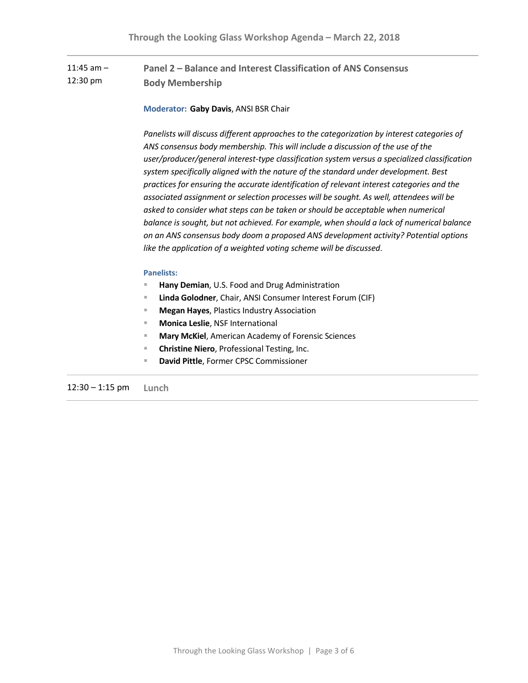#### 11:45 am – 12:30 pm **Panel 2 – Balance and Interest Classification of ANS Consensus Body Membership**

# **Moderator: Gaby Davis**, ANSI BSR Chair

*Panelists will discuss different approaches to the categorization by interest categories of ANS consensus body membership. This will include a discussion of the use of the user/producer/general interest-type classification system versus a specialized classification system specifically aligned with the nature of the standard under development. Best practices for ensuring the accurate identification of relevant interest categories and the associated assignment or selection processes will be sought. As well, attendees will be asked to consider what steps can be taken or should be acceptable when numerical balance is sought, but not achieved. For example, when should a lack of numerical balance on an ANS consensus body doom a proposed ANS development activity? Potential options like the application of a weighted voting scheme will be discussed*.

## **Panelists:**

- **Hany Demian**, U.S. Food and Drug Administration
- **Linda Golodner**, Chair, ANSI Consumer Interest Forum (CIF)
- **Megan Hayes**, Plastics Industry Association
- **Monica Leslie**, NSF International
- **Mary McKiel**, American Academy of Forensic Sciences
- **Christine Niero**, Professional Testing, Inc.
- **David Pittle**, Former CPSC Commissioner

12:30 – 1:15 pm **Lunch**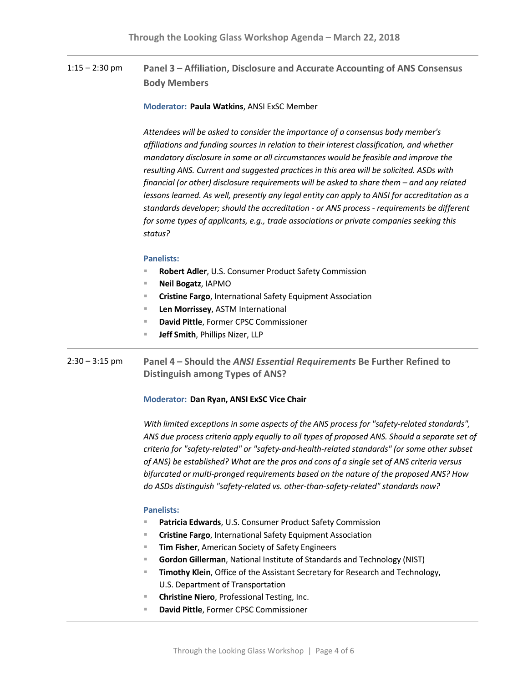# 1:15 – 2:30 pm **Panel 3 – Affiliation, Disclosure and Accurate Accounting of ANS Consensus Body Members**

### **Moderator: Paula Watkins**, ANSI ExSC Member

*Attendees will be asked to consider the importance of a consensus body member's affiliations and funding sources in relation to their interest classification, and whether mandatory disclosure in some or all circumstances would be feasible and improve the resulting ANS. Current and suggested practices in this area will be solicited. ASDs with financial (or other) disclosure requirements will be asked to share them – and any related lessons learned. As well, presently any legal entity can apply to ANSI for accreditation as a standards developer; should the accreditation - or ANS process - requirements be different for some types of applicants, e.g., trade associations or private companies seeking this status?*

#### **Panelists:**

- **Robert Adler**, U.S. Consumer Product Safety Commission
- **Neil Bogatz**, IAPMO
- **Cristine Fargo**, International Safety Equipment Association
- **Len Morrissey**, ASTM International
- **David Pittle**, Former CPSC Commissioner
- **Jeff Smith**, Phillips Nizer, LLP
- 2:30 3:15 pm **Panel 4 – Should the** *ANSI Essential Requirements* **Be Further Refined to Distinguish among Types of ANS?**

## **Moderator: Dan Ryan, ANSI ExSC Vice Chair**

*With limited exceptions in some aspects of the ANS process for "safety-related standards", ANS due process criteria apply equally to all types of proposed ANS. Should a separate set of criteria for "safety-related" or "safety-and-health-related standards" (or some other subset of ANS) be established? What are the pros and cons of a single set of ANS criteria versus bifurcated or multi-pronged requirements based on the nature of the proposed ANS? How do ASDs distinguish "safety-related vs. other-than-safety-related" standards now?*

### **Panelists:**

- **Patricia Edwards**, U.S. Consumer Product Safety Commission
- **Cristine Fargo**, International Safety Equipment Association
- **Tim Fisher**, American Society of Safety Engineers
- **Gordon Gillerman**, National Institute of Standards and Technology (NIST)
- **Timothy Klein**, Office of the Assistant Secretary for Research and Technology, U.S. Department of Transportation
- **Christine Niero**, Professional Testing, Inc.
	- **David Pittle**, Former CPSC Commissioner